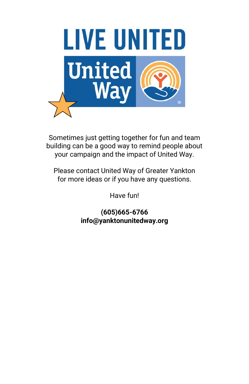

Sometimes just getting together for fun and team building can be a good way to remind people about your campaign and the impact of United Way.

Please contact United Way of Greater Yankton for more ideas or if you have any questions.

Have fun!

**(605)665-6766 info@yanktonunitedway.org**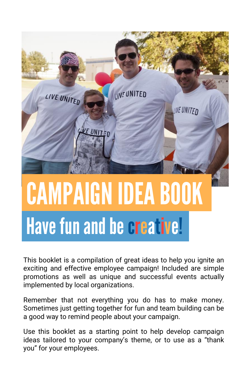

# CAMPAIGN IDEA BOOK Have fun and be creative!

This booklet is a compilation of great ideas to help you ignite an exciting and effective employee campaign! Included are simple promotions as well as unique and successful events actually implemented by local organizations.

Remember that not everything you do has to make money. Sometimes just getting together for fun and team building can be a good way to remind people about your campaign.

Use this booklet as a starting point to help develop campaign ideas tailored to your company's theme, or to use as a "thank you" for your employees.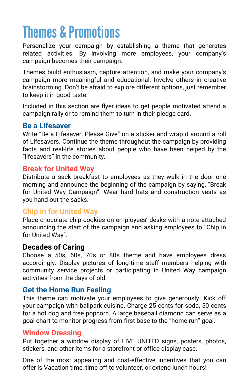## Themes & Promotions

Personalize your campaign by establishing a theme that generates related activities. By involving more employees, your company's campaign becomes their campaign.

Themes build enthusiasm, capture attention, and make your company's campaign more meaningful and educational. Involve others in creative brainstorming. Don't be afraid to explore different options, just remember to keep it in good taste.

Included in this section are flyer ideas to get people motivated attend a campaign rally or to remind them to turn in their pledge card.

#### **Be a Lifesaver**

Write "Be a Lifesaver, Please Give" on a sticker and wrap it around a roll of Lifesavers. Continue the theme throughout the campaign by providing facts and real-life stories about people who have been helped by the "lifesavers" in the community.

#### **Break for United Way**

Distribute a sack breakfast to employees as they walk in the door one morning and announce the beginning of the campaign by saying, "Break for United Way Campaign". Wear hard hats and construction vests as you hand out the sacks.

#### **Chip in for United Way**

Place chocolate chip cookies on employees' desks with a note attached announcing the start of the campaign and asking employees to "Chip in for United Way".

#### **Decades of Caring**

Choose a 50s, 60s, 70s or 80s theme and have employees dress accordingly. Display pictures of long-time staff members helping with community service projects or participating in United Way campaign activities from the days of old.

#### **Get the Home Run Feeling**

This theme can motivate your employees to give generously. Kick off your campaign with ballpark cuisine. Charge 25 cents for soda, 50 cents for a hot dog and free popcorn. A large baseball diamond can serve as a goal chart to monitor progress from first base to the "home run" goal.

#### **Window Dressing**

Put together a window display of LIVE UNITED signs, posters, photos, stickers, and other items for a storefront or office display case.

One of the most appealing and cost-effective incentives that you can offer is Vacation time, time off to volunteer, or extend lunch hours!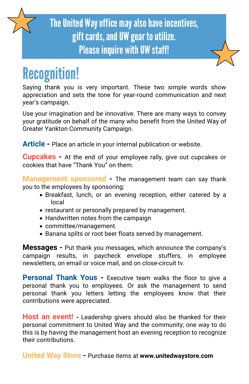The United Way office may also have incentives, gift cards, and UW gear to utilize. Please inquire with UW staff!

### Recognition!

Saying thank you is very important. These two simple words show appreciation and sets the tone for year-round communication and next year's campaign.

Use your imagination and be innovative. There are many ways to convey your gratitude on behalf of the many who benefit from the United Way of Greater Yankton Community Campaign.

**Article -** Place an article in your internal publication or website.

**Cupcakes -** At the end of your employee rally, give out cupcakes or cookies that have "Thank You" on them.

**Management sponsored -** The management team can say thank you to the employees by sponsoring:

- Breakfast, lunch, or an evening reception, either catered by a local
- restaurant or personally prepared by management.
- Handwritten notes from the campaign
- committee/management.
- Banana splits or root beer floats served by management.

**Messages -** Put thank you messages, which announce the company's campaign results, in paycheck envelope stuffers, in employee newsletters, on email or voice mail, and on close-circuit tv.

**Personal Thank Yous -** Executive team walks the floor to give a personal thank you to employees. Or ask the management to send personal thank you letters letting the employees know that their contributions were appreciated.

**Host an event! -** Leadership givers should also be thanked for their personal commitment to United Way and the community; one way to do this is by having the management host an evening reception to recognize their contributions.

**United Way Store -** Purchase items at **www.unitedwaystore.com**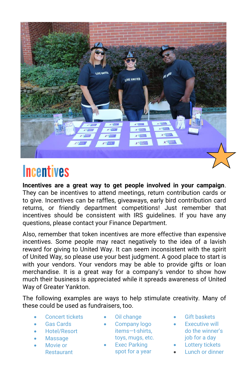

### **Incentives**

**Incentives are a great way to get people involved in your campaign**. They can be incentives to attend meetings, return contribution cards or to give. Incentives can be raffles, giveaways, early bird contribution card returns, or friendly department competitions! Just remember that incentives should be consistent with IRS guidelines. If you have any questions, please contact your Finance Department.

Also, remember that token incentives are more effective than expensive incentives. Some people may react negatively to the idea of a lavish reward for giving to United Way. It can seem inconsistent with the spirit of United Way, so please use your best judgment. A good place to start is with your vendors. Your vendors may be able to provide gifts or loan merchandise. It is a great way for a company's vendor to show how much their business is appreciated while it spreads awareness of United Way of Greater Yankton.

The following examples are ways to help stimulate creativity. Many of these could be used as fundraisers, too.

- Concert tickets
- Gas Cards
- Hotel/Resort
- **Massage**
- Movie or Restaurant
- Oil change
- Company logo items—t-shirts, toys, mugs, etc.
- **Exec Parking** spot for a year
- **Gift baskets**
- **Executive will** do the winner's job for a day
- **Lottery tickets**
- **Lunch or dinner**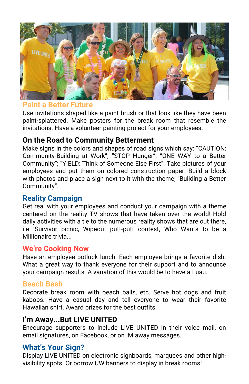

#### **Paint a Better Future**

Use invitations shaped like a paint brush or that look like they have been paint-splattered. Make posters for the break room that resemble the invitations. Have a volunteer painting project for your employees.

#### **On the Road to Community Betterment**

Make signs in the colors and shapes of road signs which say: "CAUTION: Community-Building at Work"; "STOP Hunger"; "ONE WAY to a Better Community"; "YIELD: Think of Someone Else First". Take pictures of your employees and put them on colored construction paper. Build a block with photos and place a sign next to it with the theme, "Building a Better Community".

#### **Reality Campaign**

Get real with your employees and conduct your campaign with a theme centered on the reality TV shows that have taken over the world! Hold daily activities with a tie to the numerous reality shows that are out there, i.e. Survivor picnic, Wipeout putt-putt contest, Who Wants to be a Millionaire trivia...

#### **We're Cooking Now**

Have an employee potluck lunch. Each employee brings a favorite dish. What a great way to thank everyone for their support and to announce your campaign results. A variation of this would be to have a Luau.

#### **Beach Bash**

Decorate break room with beach balls, etc. Serve hot dogs and fruit kabobs. Have a casual day and tell everyone to wear their favorite Hawaiian shirt. Award prizes for the best outfits.

#### **I'm Away...But LIVE UNITED**

Encourage supporters to include LIVE UNITED in their voice mail, on email signatures, on Facebook, or on IM away messages.

#### **What's Your Sign?**

Display LIVE UNITED on electronic signboards, marquees and other highvisibility spots. Or borrow UW banners to display in break rooms!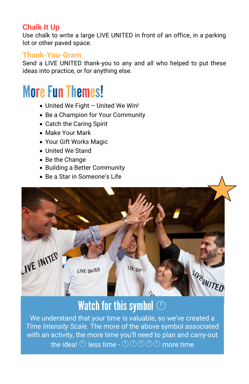#### **Chalk It Up**

Use chalk to write a large LIVE UNITED in front of an office, in a parking lot or other paved space.

#### **Thank-You-Gram**

Send a LIVE UNITED thank-you to any and all who helped to put these ideas into practice, or for anything else.

### **More Fun Themes!**

- United We Fight United We Win!
- Be a Champion for Your Community
- Catch the Caring Spirit
- Make Your Mark
- Your Gift Works Magic
- United We Stand
- Be the Change
- Building a Better Community
- Be a Star in Someone's Life



### Watch for this symbol  $\circledcirc$

We understand that your time is valuable, so we've created a *Time Intensity Scale.* The more of the above symbol associated with an activity, the more time you'll need to plan and carry-out the idea!  $\mathbb O$  less time -  $\mathbb O \mathbb O \mathbb O \mathbb O$  more time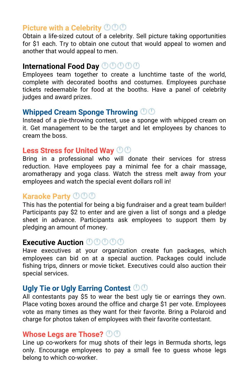#### **Picture with a Celebrity**

Obtain a life-sized cutout of a celebrity. Sell picture taking opportunities for \$1 each. Try to obtain one cutout that would appeal to women and another that would appeal to men.

#### **International Food Day**

Employees team together to create a lunchtime taste of the world, complete with decorated booths and costumes. Employees purchase tickets redeemable for food at the booths. Have a panel of celebrity judges and award prizes.

#### **Whipped Cream Sponge Throwing**

Instead of a pie-throwing contest, use a sponge with whipped cream on it. Get management to be the target and let employees by chances to cream the boss.

#### **Less Stress for United Way**

Bring in a professional who will donate their services for stress reduction. Have employees pay a minimal fee for a chair massage, aromatherapy and yoga class. Watch the stress melt away from your employees and watch the special event dollars roll in!

#### **Karaoke Party**

This has the potential for being a big fundraiser and a great team builder! Participants pay \$2 to enter and are given a list of songs and a pledge sheet in advance. Participants ask employees to support them by pledging an amount of money.

#### **Executive Auction**

Have executives at your organization create fun packages, which employees can bid on at a special auction. Packages could include fishing trips, dinners or movie ticket. Executives could also auction their special services.

#### **Ugly Tie or Ugly Earring Contest**

All contestants pay \$5 to wear the best ugly tie or earrings they own. Place voting boxes around the office and charge \$1 per vote. Employees vote as many times as they want for their favorite. Bring a Polaroid and charge for photos taken of employees with their favorite contestant.

#### **Whose Legs are Those?**

Line up co-workers for mug shots of their legs in Bermuda shorts, legs only. Encourage employees to pay a small fee to guess whose legs belong to which co-worker.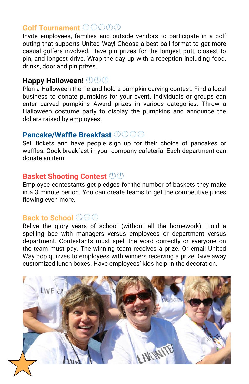#### **Golf Tournament**

Invite employees, families and outside vendors to participate in a golf outing that supports United Way! Choose a best ball format to get more casual golfers involved. Have pin prizes for the longest putt, closest to pin, and longest drive. Wrap the day up with a reception including food, drinks, door and pin prizes.

#### **Happy Halloween!**

Plan a Halloween theme and hold a pumpkin carving contest. Find a local business to donate pumpkins for your event. Individuals or groups can enter carved pumpkins Award prizes in various categories. Throw a Halloween costume party to display the pumpkins and announce the dollars raised by employees.

#### **Pancake/Waffle Breakfast**

Sell tickets and have people sign up for their choice of pancakes or waffles. Cook breakfast in your company cafeteria. Each department can donate an item.

#### **Basket Shooting Contest**

Employee contestants get pledges for the number of baskets they make in a 3 minute period. You can create teams to get the competitive juices flowing even more.

#### **Back to School**

Relive the glory years of school (without all the homework). Hold a spelling bee with managers versus employees or department versus department. Contestants must spell the word correctly or everyone on the team must pay. The winning team receives a prize. Or email United Way pop quizzes to employees with winners receiving a prize. Give away customized lunch boxes. Have employees' kids help in the decoration.

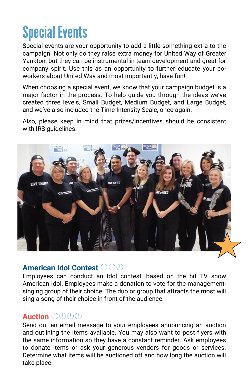## Special Events

Special events are your opportunity to add a little something extra to the campaign. Not only do they raise extra money for United Way of Greater Yankton, but they can be instrumental in team development and great for company spirit. Use this as an opportunity to further educate your coworkers about United Way and most importantly, have fun!

When choosing a special event, we know that your campaign budget is a major factor in the process. To help guide you through the ideas we've created three levels, Small Budget, Medium Budget, and Large Budget, and we've also included the Time Intensity Scale, once again.

Also, please keep in mind that prizes/incentives should be consistent with IRS guidelines.



#### **American Idol Contest**

Employees can conduct an Idol contest, based on the hit TV show American Idol. Employees make a donation to vote for the managementsinging group of their choice. The duo or group that attracts the most will sing a song of their choice in front of the audience.

#### **Auction** *DODA*

Send out an email message to your employees announcing an auction and outlining the items available. You may also want to post flyers with the same information so they have a constant reminder. Ask employees to donate items or ask your generous vendors for goods or services. Determine what items will be auctioned off and how long the auction will take place.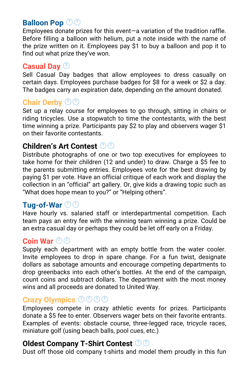#### **Balloon Pop**

Employees donate prizes for this event—a variation of the tradition raffle. Before filling a balloon with helium, put a note inside with the name of the prize written on it. Employees pay \$1 to buy a balloon and pop it to find out what prize they've won.

#### **Casual Day**

Sell Casual Day badges that allow employees to dress casually on certain days. Employees purchase badges for \$8 for a week or \$2 a day. The badges carry an expiration date, depending on the amount donated.

#### **Chair Derby**

Set up a relay course for employees to go through, sitting in chairs or riding tricycles. Use a stopwatch to time the contestants, with the best time winning a prize. Participants pay \$2 to play and observers wager \$1 on their favorite contestants.

#### **Children's Art Contest**

Distribute photographs of one or two top executives for employees to take home for their children (12 and under) to draw. Charge a \$5 fee to the parents submitting entries. Employees vote for the best drawing by paying \$1 per vote. Have an official critique of each work and display the collection in an "official" art gallery. Or, give kids a drawing topic such as "What does hope mean to you?" or "Helping others".

#### **Tug-of-War**

Have hourly vs. salaried staff or interdepartmental competition. Each team pays an entry fee with the winning team winning a prize. Could be an extra casual day or perhaps they could be let off early on a Friday.

#### **Coin War**

Supply each department with an empty bottle from the water cooler. Invite employees to drop in spare change. For a fun twist, designate dollars as sabotage amounts and encourage competing departments to drop greenbacks into each other's bottles. At the end of the campaign, count coins and subtract dollars. The department with the most money wins and all proceeds are donated to United Way.

#### **Crazy Olympics**

Employees compete in crazy athletic events for prizes. Participants donate a \$5 fee to enter. Observers wager bets on their favorite entrants. Examples of events: obstacle course, three-legged race, tricycle races, miniature golf (using beach balls, pool cues, etc.)

#### **Oldest Company T-Shirt Contest**

Dust off those old company t-shirts and model them proudly in this fun